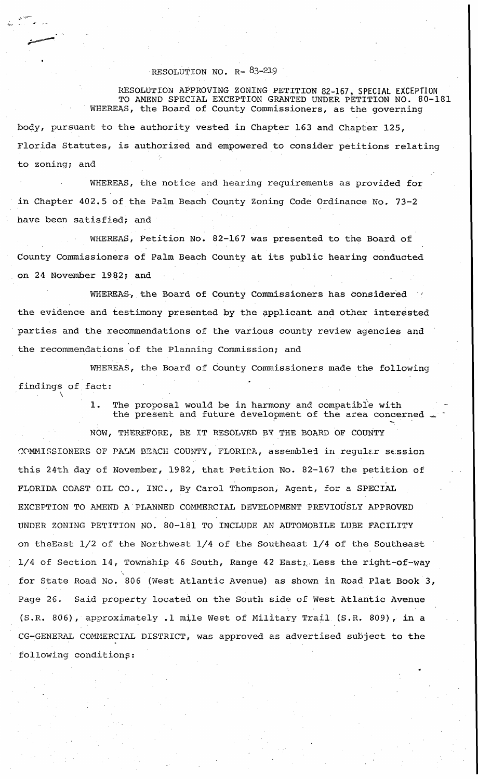## RESOLUTION NO. R-83-219

 $\mathbf{r}' = \mathbf{r} -$ 

RESOLUTION APPROVING ZONING PETITION 82-167, SPECIAL EXCEPTION TO AMEND SPECIAL EXCEPTION GRANTED UNDER PETITION NO. 80-181 WHEREAS, the Board of County Commissioners, as the governing body, pursuant to the authority vested in Chapter 163 and Chapter 125, Florida Statutes, is authorized and empowered to consider petitions relating to zoning; and

WHEREAS, the notice and hearing requirements as provided for in Chapter 402.5 of the Palm Beach County zoning Code Ordinance No. 73-2 have been satisfied; and

WHEREAS, Petition No. 82-167 was presented to the Board of County Commissioners of Palm Beach County at its public hearing conducted on 24 November 1982; and

WHEREAS, the Board of County Commissioners has considered the evidence and testimony presented by the applicant and other interested parties and the recommendations of the various county review agencies and the recommendations of the Planning Commission; and

WHEREAS, the Board of County Commissioners made the following findings of fact:

> 1. The proposal would be in harmony and compatibl'e with the present and future development of the area concerned

NOW, THEREFORE, BE IT RESOLVED BY THE BOARD OF COUNTY COMMISSIONERS OF PALM BEACH COUNTY, FLORIDA, assembled in regular session this 24th day of November, 1982, that Petition No. 82-167 the petition of FLORIDA COAST OIL CO., INC., By Carol Thompson, Agent, for a SPECIAL EXCEPTION TO AMEND A PLANNED COMMERCIAL DEVELOPMENT PREVIOUSLY APPROVED UNDER ZONING PETITION NO. 80-181 TO INCLUDE AN AUTOMOBILE LUBE FACILITY on theEast 1/2 of the Northwest 1/4 of the Southeast 1/4 of the Southeast  $1/4$  of Section 14, Township 46 South, Range 42 East; Less the right-of-way for State Road No. 806 (West Atlantic Avenue) as shown in Road Plat Book 3, Page 26. Said property located on the South side of West Atlantic Avenue (S.R. 806), approximately .1 mile West of Military Trail (S.R. 809), in a CG-GENERAL COMMERCIAL DISTRICT, was approved as advertised subject to the following conditions: